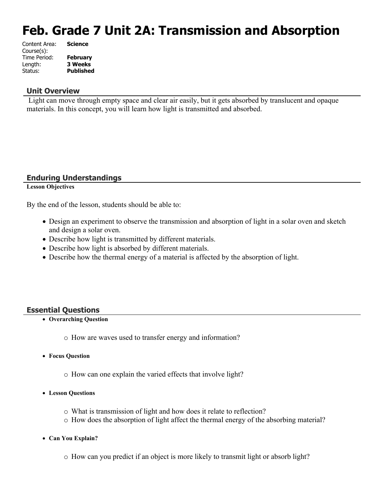# **Feb. Grade 7 Unit 2A: Transmission and Absorption**

| Content Area: | <b>Science</b>   |
|---------------|------------------|
| Course(s):    |                  |
| Time Period:  | <b>February</b>  |
| Length:       | <b>3 Weeks</b>   |
| Status:       | <b>Published</b> |
|               |                  |

# **Unit Overview**

 Light can move through empty space and clear air easily, but it gets absorbed by translucent and opaque materials. In this concept, you will learn how light is transmitted and absorbed.

# **Enduring Understandings**

### **Lesson Objectives**

By the end of the lesson, students should be able to:

- Design an experiment to observe the transmission and absorption of light in a solar oven and sketch and design a solar oven.
- Describe how light is transmitted by different materials.
- Describe how light is absorbed by different materials.
- Describe how the thermal energy of a material is affected by the absorption of light.

# **Essential Questions**

- **Overarching Question**
	- o How are waves used to transfer energy and information?
- **Focus Question**
	- o How can one explain the varied effects that involve light?
- **Lesson Questions**
	- o What is transmission of light and how does it relate to reflection?
	- o How does the absorption of light affect the thermal energy of the absorbing material?
- **Can You Explain?**
	- o How can you predict if an object is more likely to transmit light or absorb light?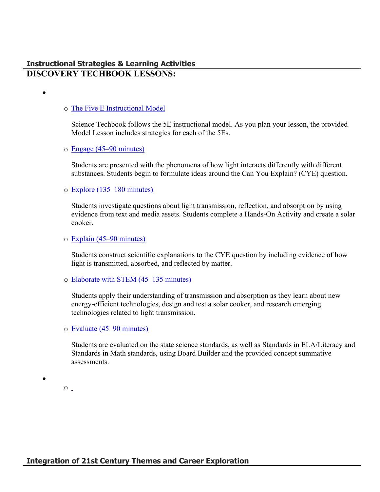# **Instructional Strategies & Learning Activities DISCOVERY TECHBOOK LESSONS:**

# o [The Five E Instructional Model](https://app.discoveryeducation.com/learn/techbook/units/0eb7a0d2-f81f-4021-a6a6-10cacdb31920/concepts/326789de-8f6b-40a9-8da6-6f1e0f3870c3/lesson/sections/739d6f4d-761a-4471-97df-eb2e2c2a7817#38b57cd4-6913-44d4-8d28-ab1da4b7b672)

 $\bullet$ 

Science Techbook follows the 5E instructional model. As you plan your lesson, the provided Model Lesson includes strategies for each of the 5Es.

### o [Engage \(45–90 minutes\)](https://app.discoveryeducation.com/learn/techbook/units/0eb7a0d2-f81f-4021-a6a6-10cacdb31920/concepts/326789de-8f6b-40a9-8da6-6f1e0f3870c3/lesson/sections/739d6f4d-761a-4471-97df-eb2e2c2a7817#bd1d08ca-99ca-4ca6-9153-88ff62250f6b)

Students are presented with the phenomena of how light interacts differently with different substances. Students begin to formulate ideas around the Can You Explain? (CYE) question.

# o [Explore \(135–180 minutes\)](https://app.discoveryeducation.com/learn/techbook/units/0eb7a0d2-f81f-4021-a6a6-10cacdb31920/concepts/326789de-8f6b-40a9-8da6-6f1e0f3870c3/lesson/sections/739d6f4d-761a-4471-97df-eb2e2c2a7817#66d18ef1-ce99-4dc2-aeb4-ee3e41a072c7)

Students investigate questions about light transmission, reflection, and absorption by using evidence from text and media assets. Students complete a Hands-On Activity and create a solar cooker.

### o [Explain \(45–90 minutes\)](https://app.discoveryeducation.com/learn/techbook/units/0eb7a0d2-f81f-4021-a6a6-10cacdb31920/concepts/326789de-8f6b-40a9-8da6-6f1e0f3870c3/lesson/sections/739d6f4d-761a-4471-97df-eb2e2c2a7817#bb7507a5-8e7e-44cc-80f6-89e7f33a94ee)

Students construct scientific explanations to the CYE question by including evidence of how light is transmitted, absorbed, and reflected by matter.

# o [Elaborate with STEM \(45–135 minutes\)](https://app.discoveryeducation.com/learn/techbook/units/0eb7a0d2-f81f-4021-a6a6-10cacdb31920/concepts/326789de-8f6b-40a9-8da6-6f1e0f3870c3/lesson/sections/739d6f4d-761a-4471-97df-eb2e2c2a7817#0539aa54-75a2-4481-b08e-9154d16ddae6)

Students apply their understanding of transmission and absorption as they learn about new energy-efficient technologies, design and test a solar cooker, and research emerging technologies related to light transmission.

#### o [Evaluate \(45–90 minutes\)](https://app.discoveryeducation.com/learn/techbook/units/0eb7a0d2-f81f-4021-a6a6-10cacdb31920/concepts/326789de-8f6b-40a9-8da6-6f1e0f3870c3/lesson/sections/739d6f4d-761a-4471-97df-eb2e2c2a7817#24d8cc31-6fc3-4511-af44-6895d69b3d1c)

Students are evaluated on the state science standards, as well as Standards in ELA/Literacy and Standards in Math standards, using Board Builder and the provided concept summative assessments.

 $\circ$   $\overline{\phantom{0}}$ 

 $\bullet$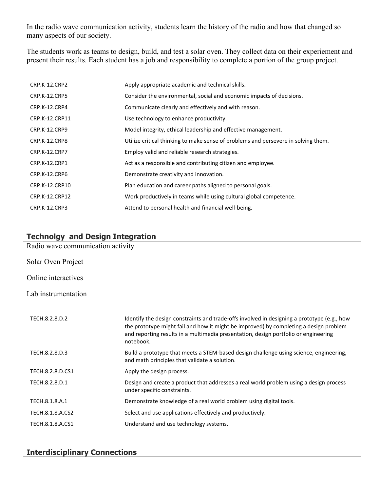In the radio wave communication activity, students learn the history of the radio and how that changed so many aspects of our society.

The students work as teams to design, build, and test a solar oven. They collect data on their experiement and present their results. Each student has a job and responsibility to complete a portion of the group project.

| CRP.K-12.CRP2        | Apply appropriate academic and technical skills.                                   |
|----------------------|------------------------------------------------------------------------------------|
| CRP.K-12.CRP5        | Consider the environmental, social and economic impacts of decisions.              |
| CRP.K-12.CRP4        | Communicate clearly and effectively and with reason.                               |
| CRP.K-12.CRP11       | Use technology to enhance productivity.                                            |
| CRP.K-12.CRP9        | Model integrity, ethical leadership and effective management.                      |
| CRP.K-12.CRP8        | Utilize critical thinking to make sense of problems and persevere in solving them. |
| <b>CRP.K-12.CRP7</b> | Employ valid and reliable research strategies.                                     |
| CRP.K-12.CRP1        | Act as a responsible and contributing citizen and employee.                        |
| CRP.K-12.CRP6        | Demonstrate creativity and innovation.                                             |
| CRP.K-12.CRP10       | Plan education and career paths aligned to personal goals.                         |
| CRP.K-12.CRP12       | Work productively in teams while using cultural global competence.                 |
| <b>CRP.K-12.CRP3</b> | Attend to personal health and financial well-being.                                |

# **Technolgy and Design Integration**

| Radio wave communication activity |                                                                                                                                                                                                                                                                                          |
|-----------------------------------|------------------------------------------------------------------------------------------------------------------------------------------------------------------------------------------------------------------------------------------------------------------------------------------|
| Solar Oven Project                |                                                                                                                                                                                                                                                                                          |
| Online interactives               |                                                                                                                                                                                                                                                                                          |
| Lab instrumentation               |                                                                                                                                                                                                                                                                                          |
| TECH.8.2.8.D.2                    | Identify the design constraints and trade-offs involved in designing a prototype (e.g., how<br>the prototype might fail and how it might be improved) by completing a design problem<br>and reporting results in a multimedia presentation, design portfolio or engineering<br>notebook. |
| TECH.8.2.8.D.3                    | Build a prototype that meets a STEM-based design challenge using science, engineering,<br>and math principles that validate a solution.                                                                                                                                                  |
| TECH.8.2.8.D.CS1                  | Apply the design process.                                                                                                                                                                                                                                                                |
| TECH.8.2.8.D.1                    | Design and create a product that addresses a real world problem using a design process<br>under specific constraints.                                                                                                                                                                    |
| TECH.8.1.8.A.1                    | Demonstrate knowledge of a real world problem using digital tools.                                                                                                                                                                                                                       |
| TECH.8.1.8.A.CS2                  | Select and use applications effectively and productively.                                                                                                                                                                                                                                |
| TECH.8.1.8.A.CS1                  | Understand and use technology systems.                                                                                                                                                                                                                                                   |

# **Interdisciplinary Connections**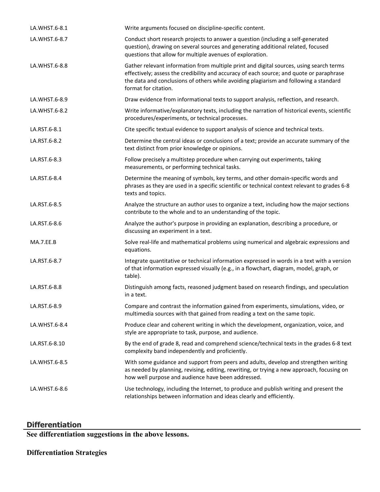| LA.WHST.6-8.1 | Write arguments focused on discipline-specific content.                                                                                                                                                                                                                                              |
|---------------|------------------------------------------------------------------------------------------------------------------------------------------------------------------------------------------------------------------------------------------------------------------------------------------------------|
| LA.WHST.6-8.7 | Conduct short research projects to answer a question (including a self-generated<br>question), drawing on several sources and generating additional related, focused<br>questions that allow for multiple avenues of exploration.                                                                    |
| LA.WHST.6-8.8 | Gather relevant information from multiple print and digital sources, using search terms<br>effectively; assess the credibility and accuracy of each source; and quote or paraphrase<br>the data and conclusions of others while avoiding plagiarism and following a standard<br>format for citation. |
| LA.WHST.6-8.9 | Draw evidence from informational texts to support analysis, reflection, and research.                                                                                                                                                                                                                |
| LA.WHST.6-8.2 | Write informative/explanatory texts, including the narration of historical events, scientific<br>procedures/experiments, or technical processes.                                                                                                                                                     |
| LA.RST.6-8.1  | Cite specific textual evidence to support analysis of science and technical texts.                                                                                                                                                                                                                   |
| LA.RST.6-8.2  | Determine the central ideas or conclusions of a text; provide an accurate summary of the<br>text distinct from prior knowledge or opinions.                                                                                                                                                          |
| LA.RST.6-8.3  | Follow precisely a multistep procedure when carrying out experiments, taking<br>measurements, or performing technical tasks.                                                                                                                                                                         |
| LA.RST.6-8.4  | Determine the meaning of symbols, key terms, and other domain-specific words and<br>phrases as they are used in a specific scientific or technical context relevant to grades 6-8<br>texts and topics.                                                                                               |
| LA.RST.6-8.5  | Analyze the structure an author uses to organize a text, including how the major sections<br>contribute to the whole and to an understanding of the topic.                                                                                                                                           |
| LA.RST.6-8.6  | Analyze the author's purpose in providing an explanation, describing a procedure, or<br>discussing an experiment in a text.                                                                                                                                                                          |
| MA.7.EE.B     | Solve real-life and mathematical problems using numerical and algebraic expressions and<br>equations.                                                                                                                                                                                                |
| LA.RST.6-8.7  | Integrate quantitative or technical information expressed in words in a text with a version<br>of that information expressed visually (e.g., in a flowchart, diagram, model, graph, or<br>table).                                                                                                    |
| LA.RST.6-8.8  | Distinguish among facts, reasoned judgment based on research findings, and speculation<br>in a text.                                                                                                                                                                                                 |
| LA.RST.6-8.9  | Compare and contrast the information gained from experiments, simulations, video, or<br>multimedia sources with that gained from reading a text on the same topic.                                                                                                                                   |
| LA.WHST.6-8.4 | Produce clear and coherent writing in which the development, organization, voice, and<br>style are appropriate to task, purpose, and audience.                                                                                                                                                       |
| LA.RST.6-8.10 | By the end of grade 8, read and comprehend science/technical texts in the grades 6-8 text<br>complexity band independently and proficiently.                                                                                                                                                         |
| LA.WHST.6-8.5 | With some guidance and support from peers and adults, develop and strengthen writing<br>as needed by planning, revising, editing, rewriting, or trying a new approach, focusing on<br>how well purpose and audience have been addressed.                                                             |
| LA.WHST.6-8.6 | Use technology, including the Internet, to produce and publish writing and present the<br>relationships between information and ideas clearly and efficiently.                                                                                                                                       |

# **Differentiation**

**See differentiation suggestions in the above lessons.** 

# **Differentiation Strategies**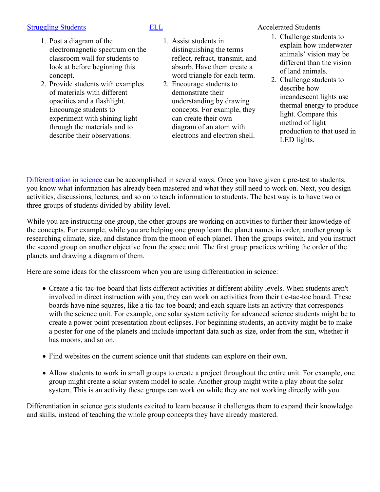# [Struggling Students](https://app.discoveryeducation.com/player/view/assetGuid/4995767F-D634-40C6-B25B-BDEA06E14F90) **[ELL](https://app.discoveryeducation.com/player/view/assetGuid/D727DF69-B79B-4A92-AA1F-CE23C74D98D9)** ELL Accelerated Students

- 1. Post a diagram of the electromagnetic spectrum on the classroom wall for students to look at before beginning this concept.
- 2. Provide students with examples of materials with different opacities and a flashlight. Encourage students to experiment with shining light through the materials and to describe their observations.

- 1. Assist students in distinguishing the terms reflect, refract, transmit, and absorb. Have them create a word triangle for each term.
- 2. Encourage students to demonstrate their understanding by drawing concepts. For example, they can create their own diagram of an atom with electrons and electron shell.

1. Challenge students to explain how underwater animals' vision may be different than the vision of land animals.

2. Challenge students to describe how incandescent lights use thermal energy to produce light. Compare this method of light production to that used in LED lights.

[Differentiation in science](http://www.brighthubeducation.com/teaching-gifted-students/65181-differentiation-techniques-and-activities-in-the-classroom-for-gifted-students/) can be accomplished in several ways. Once you have given a pre-test to students, you know what information has already been mastered and what they still need to work on. Next, you design activities, discussions, lectures, and so on to teach information to students. The best way is to have two or three groups of students divided by ability level.

While you are instructing one group, the other groups are working on activities to further their knowledge of the concepts. For example, while you are helping one group learn the planet names in order, another group is researching climate, size, and distance from the moon of each planet. Then the groups switch, and you instruct the second group on another objective from the space unit. The first group practices writing the order of the planets and drawing a diagram of them.

Here are some ideas for the classroom when you are using differentiation in science:

- Create a tic-tac-toe board that lists different activities at different ability levels. When students aren't involved in direct instruction with you, they can work on activities from their tic-tac-toe board. These boards have nine squares, like a tic-tac-toe board; and each square lists an activity that corresponds with the science unit. For example, one solar system activity for advanced science students might be to create a power point presentation about eclipses. For beginning students, an activity might be to make a poster for one of the planets and include important data such as size, order from the sun, whether it has moons, and so on.
- Find websites on the current science unit that students can explore on their own.
- Allow students to work in small groups to create a project throughout the entire unit. For example, one group might create a solar system model to scale. Another group might write a play about the solar system. This is an activity these groups can work on while they are not working directly with you.

Differentiation in science gets students excited to learn because it challenges them to expand their knowledge and skills, instead of teaching the whole group concepts they have already mastered.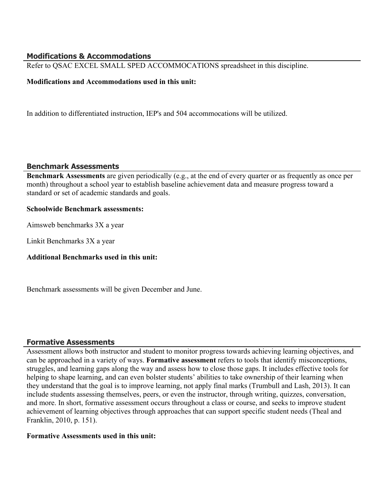# **Modifications & Accommodations**

Refer to QSAC EXCEL SMALL SPED ACCOMMOCATIONS spreadsheet in this discipline.

# **Modifications and Accommodations used in this unit:**

In addition to differentiated instruction, IEP's and 504 accommocations will be utilized.

# **Benchmark Assessments**

**Benchmark Assessments** are given periodically (e.g., at the end of every quarter or as frequently as once per month) throughout a school year to establish baseline achievement data and measure progress toward a standard or set of academic standards and goals.

# **Schoolwide Benchmark assessments:**

Aimsweb benchmarks 3X a year

Linkit Benchmarks 3X a year

# **Additional Benchmarks used in this unit:**

Benchmark assessments will be given December and June.

# **Formative Assessments**

Assessment allows both instructor and student to monitor progress towards achieving learning objectives, and can be approached in a variety of ways. **Formative assessment** refers to tools that identify misconceptions, struggles, and learning gaps along the way and assess how to close those gaps. It includes effective tools for helping to shape learning, and can even bolster students' abilities to take ownership of their learning when they understand that the goal is to improve learning, not apply final marks (Trumbull and Lash, 2013). It can include students assessing themselves, peers, or even the instructor, through writing, quizzes, conversation, and more. In short, formative assessment occurs throughout a class or course, and seeks to improve student achievement of learning objectives through approaches that can support specific student needs (Theal and Franklin, 2010, p. 151).

# **Formative Assessments used in this unit:**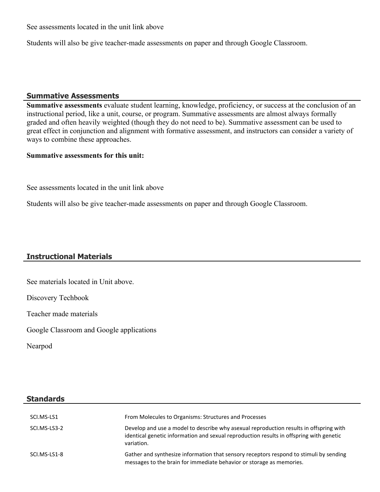See assessments located in the unit link above

Students will also be give teacher-made assessments on paper and through Google Classroom.

## **Summative Assessments**

**Summative assessments** evaluate student learning, knowledge, proficiency, or success at the conclusion of an instructional period, like a unit, course, or program. Summative assessments are almost always formally graded and often heavily weighted (though they do not need to be). Summative assessment can be used to great effect in conjunction and alignment with formative assessment, and instructors can consider a variety of ways to combine these approaches.

# **Summative assessments for this unit:**

See assessments located in the unit link above

Students will also be give teacher-made assessments on paper and through Google Classroom.

# **Instructional Materials**

See materials located in Unit above.

Discovery Techbook

Teacher made materials

Google Classroom and Google applications

Nearpod

# **Standards**

| SCI.MS-LS1   | From Molecules to Organisms: Structures and Processes                                                                                                                                           |
|--------------|-------------------------------------------------------------------------------------------------------------------------------------------------------------------------------------------------|
| SCI.MS-LS3-2 | Develop and use a model to describe why asexual reproduction results in offspring with<br>identical genetic information and sexual reproduction results in offspring with genetic<br>variation. |
| SCI.MS-LS1-8 | Gather and synthesize information that sensory receptors respond to stimuli by sending<br>messages to the brain for immediate behavior or storage as memories.                                  |